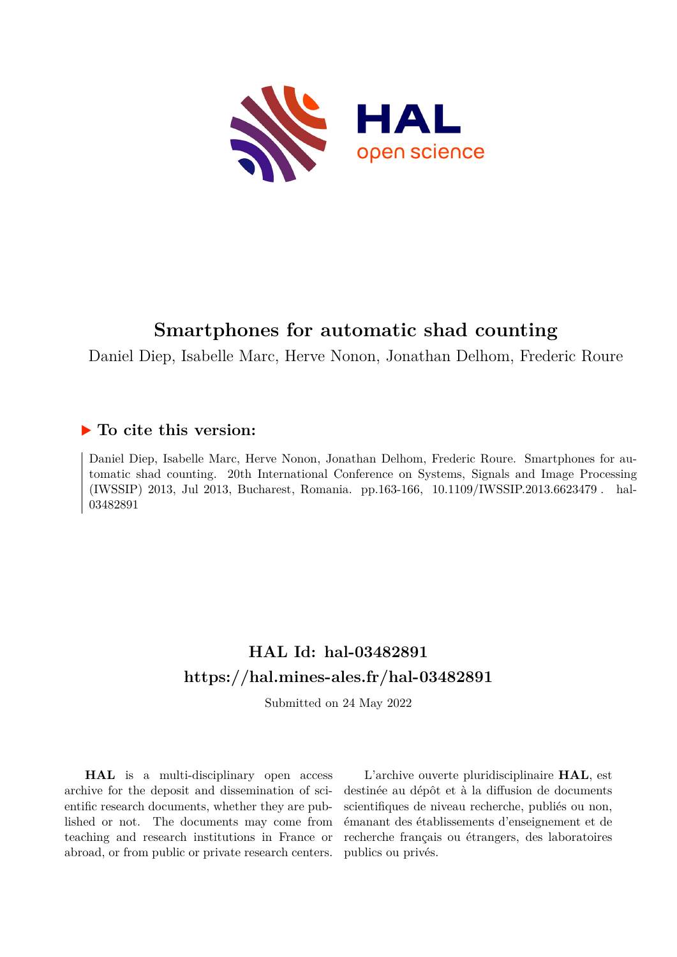

## **Smartphones for automatic shad counting**

Daniel Diep, Isabelle Marc, Herve Nonon, Jonathan Delhom, Frederic Roure

### **To cite this version:**

Daniel Diep, Isabelle Marc, Herve Nonon, Jonathan Delhom, Frederic Roure. Smartphones for automatic shad counting. 20th International Conference on Systems, Signals and Image Processing (IWSSIP) 2013, Jul 2013, Bucharest, Romania. pp.163-166, 10.1109/IWSSIP.2013.6623479. hal-03482891

### **HAL Id: hal-03482891 <https://hal.mines-ales.fr/hal-03482891>**

Submitted on 24 May 2022

**HAL** is a multi-disciplinary open access archive for the deposit and dissemination of scientific research documents, whether they are published or not. The documents may come from teaching and research institutions in France or abroad, or from public or private research centers.

L'archive ouverte pluridisciplinaire **HAL**, est destinée au dépôt et à la diffusion de documents scientifiques de niveau recherche, publiés ou non, émanant des établissements d'enseignement et de recherche français ou étrangers, des laboratoires publics ou privés.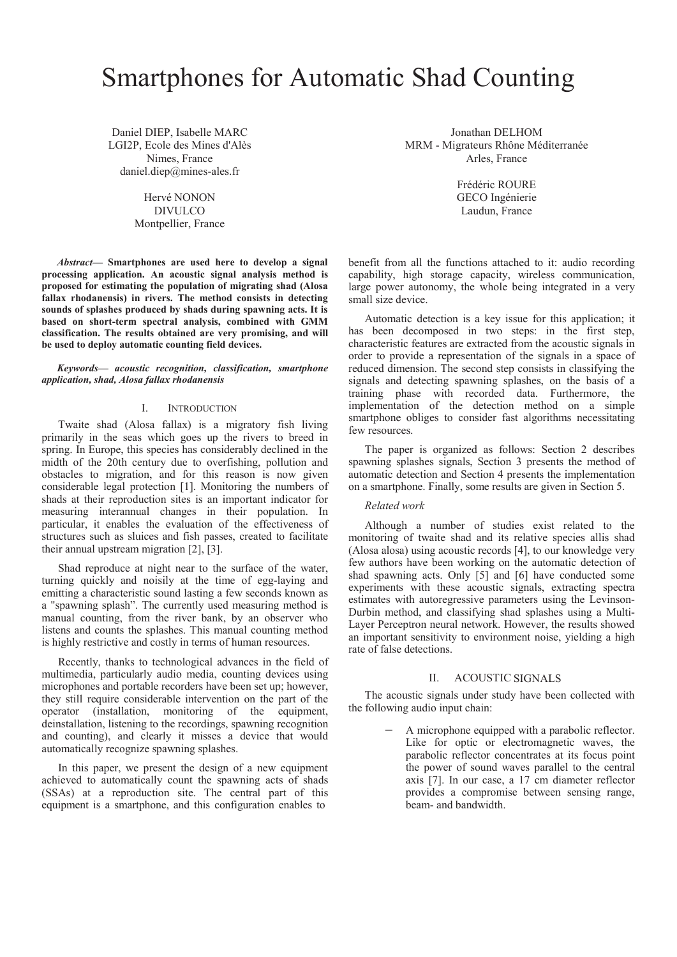# Smartphones for Automatic Shad Counting

Daniel DIEP, Isabelle MARC LGI2P, Ecole des Mines d'Alès Nimes, France daniel.diep@mines-ales.fr

> Hervé NONON DIVULCO Montpellier, France

*Abstract***— Smartphones are used here to develop a signal processing application. An acoustic signal analysis method is proposed for estimating the population of migrating shad (Alosa fallax rhodanensis) in rivers. The method consists in detecting sounds of splashes produced by shads during spawning acts. It is based on short-term spectral analysis, combined with GMM classification. The results obtained are very promising, and will be used to deploy automatic counting field devices.** 

#### *Keywords— acoustic recognition, classification, smartphone application, shad, Alosa fallax rhodanensis*

#### I. INTRODUCTION

Twaite shad (Alosa fallax) is a migratory fish living primarily in the seas which goes up the rivers to breed in spring. In Europe, this species has considerably declined in the midth of the 20th century due to overfishing, pollution and obstacles to migration, and for this reason is now given considerable legal protection [1]. Monitoring the numbers of shads at their reproduction sites is an important indicator for measuring interannual changes in their population. In particular, it enables the evaluation of the effectiveness of structures such as sluices and fish passes, created to facilitate their annual upstream migration [2], [3].

Shad reproduce at night near to the surface of the water, turning quickly and noisily at the time of egg-laying and emitting a characteristic sound lasting a few seconds known as a "spawning splash". The currently used measuring method is manual counting, from the river bank, by an observer who listens and counts the splashes. This manual counting method is highly restrictive and costly in terms of human resources.

Recently, thanks to technological advances in the field of multimedia, particularly audio media, counting devices using microphones and portable recorders have been set up; however, they still require considerable intervention on the part of the operator (installation, monitoring of the equipment, deinstallation, listening to the recordings, spawning recognition and counting), and clearly it misses a device that would automatically recognize spawning splashes.

In this paper, we present the design of a new equipment achieved to automatically count the spawning acts of shads (SSAs) at a reproduction site. The central part of this equipment is a smartphone, and this configuration enables to

Jonathan DELHOM MRM - Migrateurs Rhône Méditerranée Arles, France

> Frédéric ROURE GECO Ingénierie Laudun, France

benefit from all the functions attached to it: audio recording capability, high storage capacity, wireless communication, large power autonomy, the whole being integrated in a very small size device.

Automatic detection is a key issue for this application; it has been decomposed in two steps: in the first step, characteristic features are extracted from the acoustic signals in order to provide a representation of the signals in a space of reduced dimension. The second step consists in classifying the signals and detecting spawning splashes, on the basis of a training phase with recorded data. Furthermore, the implementation of the detection method on a simple smartphone obliges to consider fast algorithms necessitating few resources.

The paper is organized as follows: Section 2 describes spawning splashes signals, Section 3 presents the method of automatic detection and Section 4 presents the implementation on a smartphone. Finally, some results are given in Section 5.

#### *Related work*

Although a number of studies exist related to the monitoring of twaite shad and its relative species allis shad (Alosa alosa) using acoustic records [4], to our knowledge very few authors have been working on the automatic detection of shad spawning acts. Only [5] and [6] have conducted some experiments with these acoustic signals, extracting spectra estimates with autoregressive parameters using the Levinson-Durbin method, and classifying shad splashes using a Multi-Layer Perceptron neural network. However, the results showed an important sensitivity to environment noise, yielding a high rate of false detections.

#### II. ACOUSTIC SIGNALS

The acoustic signals under study have been collected with the following audio input chain:

> A microphone equipped with a parabolic reflector. Like for optic or electromagnetic waves, the parabolic reflector concentrates at its focus point the power of sound waves parallel to the central axis [7]. In our case, a 17 cm diameter reflector provides a compromise between sensing range, beam- and bandwidth.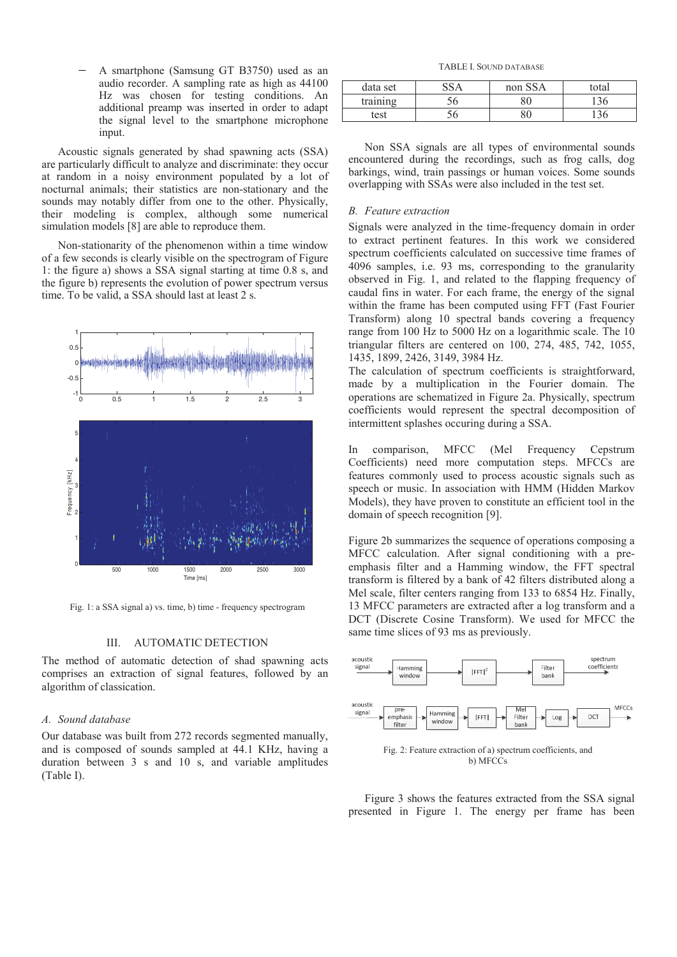− A smartphone (Samsung GT B3750) used as an audio recorder. A sampling rate as high as 44100 Hz was chosen for testing conditions. An additional preamp was inserted in order to adapt the signal level to the smartphone microphone input.

Acoustic signals generated by shad spawning acts (SSA) are particularly difficult to analyze and discriminate: they occur at random in a noisy environment populated by a lot of nocturnal animals; their statistics are non-stationary and the sounds may notably differ from one to the other. Physically, their modeling is complex, although some numerical simulation models [8] are able to reproduce them.

Non-stationarity of the phenomenon within a time window of a few seconds is clearly visible on the spectrogram of Figure 1: the figure a) shows a SSA signal starting at time 0.8 s, and the figure b) represents the evolution of power spectrum versus time. To be valid, a SSA should last at least 2 s.



Fig. 1: a SSA signal a) vs. time, b) time - frequency spectrogram

#### III. AUTOMATIC DETECTION

The method of automatic detection of shad spawning acts comprises an extraction of signal features, followed by an algorithm of classication.

#### *A. Sound database*

Our database was built from 272 records segmented manually, and is composed of sounds sampled at 44.1 KHz, having a duration between 3 s and 10 s, and variable amplitudes (Table I).

TABLE I. SOUND DATABASE

| data set | רו רז<br>SА | non SSA | total |
|----------|-------------|---------|-------|
| training | Эb          | 80      |       |
| test     | ЭU          | 80      |       |

Non SSA signals are all types of environmental sounds encountered during the recordings, such as frog calls, dog barkings, wind, train passings or human voices. Some sounds overlapping with SSAs were also included in the test set.

#### *B. Feature extraction*

Signals were analyzed in the time-frequency domain in order to extract pertinent features. In this work we considered spectrum coefficients calculated on successive time frames of 4096 samples, i.e. 93 ms, corresponding to the granularity observed in Fig. 1, and related to the flapping frequency of caudal fins in water. For each frame, the energy of the signal within the frame has been computed using FFT (Fast Fourier Transform) along 10 spectral bands covering a frequency range from 100 Hz to 5000 Hz on a logarithmic scale. The 10 triangular filters are centered on 100, 274, 485, 742, 1055, 1435, 1899, 2426, 3149, 3984 Hz.

The calculation of spectrum coefficients is straightforward, made by a multiplication in the Fourier domain. The operations are schematized in Figure 2a. Physically, spectrum coefficients would represent the spectral decomposition of intermittent splashes occuring during a SSA.

In comparison, MFCC (Mel Frequency Cepstrum Coefficients) need more computation steps. MFCCs are features commonly used to process acoustic signals such as speech or music. In association with HMM (Hidden Markov Models), they have proven to constitute an efficient tool in the domain of speech recognition [9].

Figure 2b summarizes the sequence of operations composing a MFCC calculation. After signal conditioning with a preemphasis filter and a Hamming window, the FFT spectral transform is filtered by a bank of 42 filters distributed along a Mel scale, filter centers ranging from 133 to 6854 Hz. Finally, 13 MFCC parameters are extracted after a log transform and a DCT (Discrete Cosine Transform). We used for MFCC the same time slices of 93 ms as previously.



Fig. 2: Feature extraction of a) spectrum coefficients, and b) MFCCs

Figure 3 shows the features extracted from the SSA signal presented in Figure 1. The energy per frame has been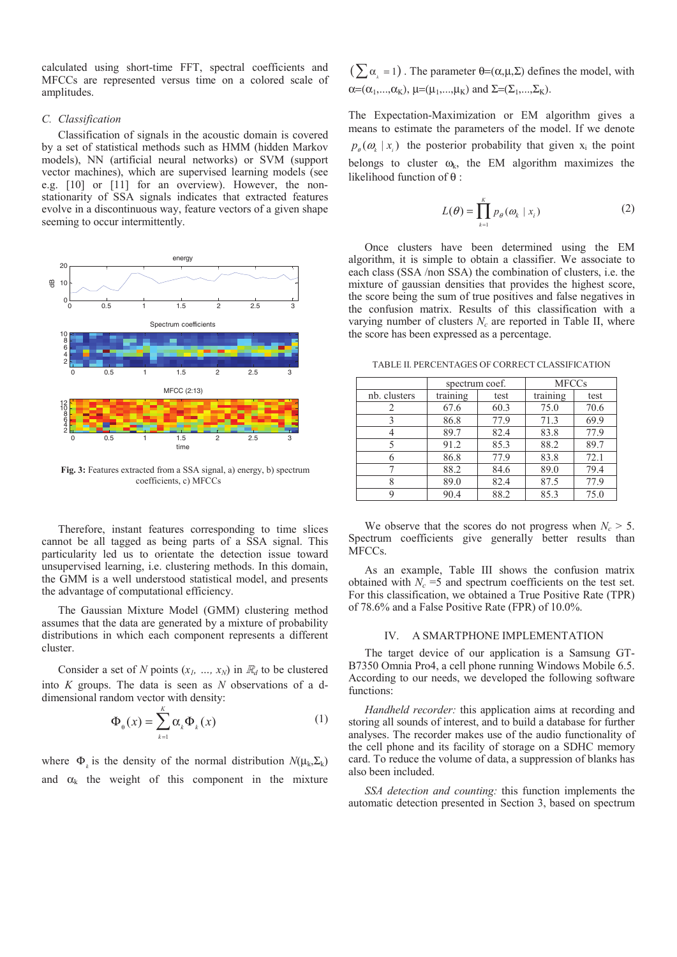calculated using short-time FFT, spectral coefficients and MFCCs are represented versus time on a colored scale of amplitudes.

#### *C. Classification*

Classification of signals in the acoustic domain is covered by a set of statistical methods such as HMM (hidden Markov models), NN (artificial neural networks) or SVM (support vector machines), which are supervised learning models (see e.g. [10] or [11] for an overview). However, the nonstationarity of SSA signals indicates that extracted features evolve in a discontinuous way, feature vectors of a given shape seeming to occur intermittently.



**Fig. 3:** Features extracted from a SSA signal, a) energy, b) spectrum coefficients, c) MFCCs

Therefore, instant features corresponding to time slices cannot be all tagged as being parts of a SSA signal. This particularity led us to orientate the detection issue toward unsupervised learning, i.e. clustering methods. In this domain, the GMM is a well understood statistical model, and presents the advantage of computational efficiency.

The Gaussian Mixture Model (GMM) clustering method assumes that the data are generated by a mixture of probability distributions in which each component represents a different cluster.

Consider a set of *N* points  $(x_1, ..., x_N)$  in  $\mathbb{R}_d$  to be clustered into *K* groups. The data is seen as *N* observations of a ddimensional random vector with density:

$$
\Phi_{\theta}(x) = \sum_{k=1}^{K} \alpha_k \Phi_k(x) \tag{1}
$$

where  $\Phi_k$  is the density of the normal distribution  $N(\mu_k, \Sigma_k)$ and  $\alpha_k$  the weight of this component in the mixture

 $(\sum \alpha_{k} = 1)$ . The parameter  $\theta = (\alpha, \mu, \Sigma)$  defines the model, with  $\alpha = (\alpha_1, \ldots, \alpha_K)$ ,  $\mu = (\mu_1, \ldots, \mu_K)$  and  $\Sigma = (\Sigma_1, \ldots, \Sigma_K)$ .

The Expectation-Maximization or EM algorithm gives a means to estimate the parameters of the model. If we denote  $p_a(\omega_k | x)$  the posterior probability that given  $x_i$  the point belongs to cluster  $\omega_k$ , the EM algorithm maximizes the likelihood function of θ :

$$
L(\theta) = \prod_{k=1}^{K} p_{\theta}(\omega_k \mid x_i)
$$
 (2)

Once clusters have been determined using the EM algorithm, it is simple to obtain a classifier. We associate to each class (SSA /non SSA) the combination of clusters, i.e. the mixture of gaussian densities that provides the highest score, the score being the sum of true positives and false negatives in the confusion matrix. Results of this classification with a varying number of clusters  $N_c$  are reported in Table II, where the score has been expressed as a percentage.

TABLE II. PERCENTAGES OF CORRECT CLASSIFICATION

|              | spectrum coef. |      | <b>MFCCs</b> |      |
|--------------|----------------|------|--------------|------|
| nb. clusters | training       | test | training     | test |
| 2            | 67.6           | 60.3 | 75.0         | 70.6 |
|              | 86.8           | 77.9 | 71.3         | 69.9 |
|              | 89.7           | 82.4 | 83.8         | 77.9 |
| 5            | 91.2           | 85.3 | 88.2         | 89.7 |
|              | 86.8           | 77.9 | 83.8         | 72.1 |
|              | 88.2           | 84.6 | 89.0         | 79.4 |
| 8            | 89.0           | 82.4 | 87.5         | 77.9 |
|              | 90.4           | 88.2 | 85.3         | 75.0 |

We observe that the scores do not progress when  $N_c > 5$ . Spectrum coefficients give generally better results than MFCCs.

As an example, Table III shows the confusion matrix obtained with  $N_c = 5$  and spectrum coefficients on the test set. For this classification, we obtained a True Positive Rate (TPR) of 78.6% and a False Positive Rate (FPR) of 10.0%.

#### IV. A SMARTPHONE IMPLEMENTATION

The target device of our application is a Samsung GT-B7350 Omnia Pro4, a cell phone running Windows Mobile 6.5. According to our needs, we developed the following software functions:

*Handheld recorder:* this application aims at recording and storing all sounds of interest, and to build a database for further analyses. The recorder makes use of the audio functionality of the cell phone and its facility of storage on a SDHC memory card. To reduce the volume of data, a suppression of blanks has also been included.

*SSA detection and counting:* this function implements the automatic detection presented in Section 3, based on spectrum